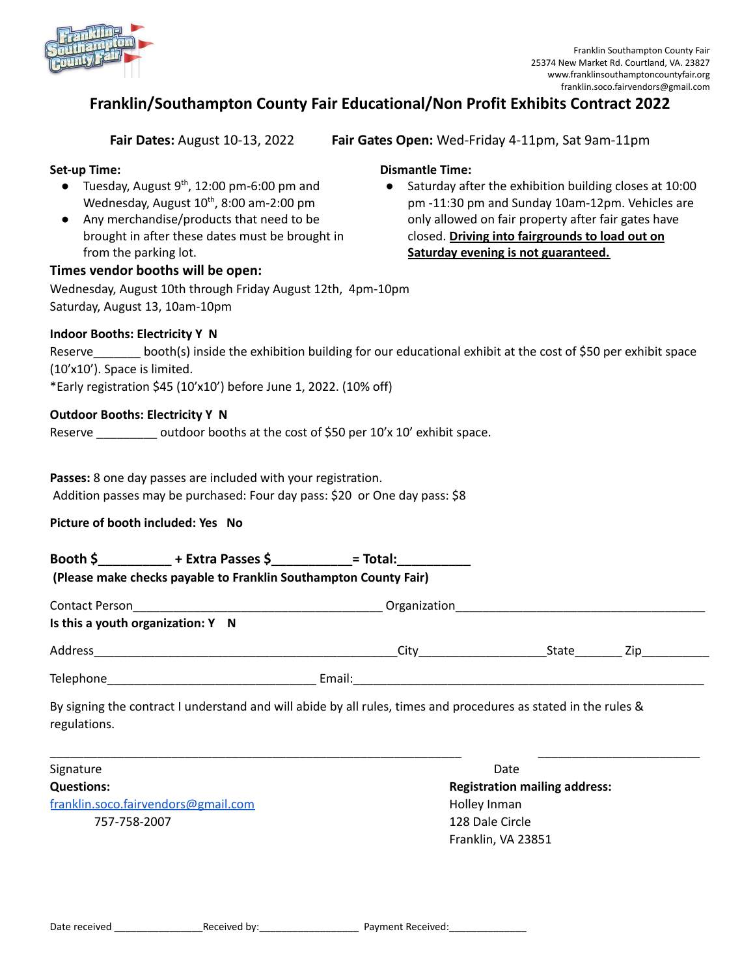

# **Franklin/Southampton County Fair Educational/Non Profit Exhibits Contract 2022**

**Dismantle Time:**

**Fair Dates:** August 10-13, 2022 **Fair Gates Open:** Wed-Friday 4-11pm, Sat 9am-11pm

**Saturday evening is not guaranteed.**

● Saturday after the exhibition building closes at 10:00 pm -11:30 pm and Sunday 10am-12pm. Vehicles are only allowed on fair property after fair gates have closed. **Driving into fairgrounds to load out on**

# **Set-up Time:**

- $\bullet$  Tuesday, August 9<sup>th</sup>, 12:00 pm-6:00 pm and Wednesday, August  $10^{th}$ , 8:00 am-2:00 pm
- Any merchandise/products that need to be brought in after these dates must be brought in from the parking lot.

### **Times vendor booths will be open:**

Wednesday, August 10th through Friday August 12th, 4pm-10pm Saturday, August 13, 10am-10pm

#### **Indoor Booths: Electricity Y N**

Reserve \_\_\_\_\_\_\_ booth(s) inside the exhibition building for our educational exhibit at the cost of \$50 per exhibit space (10'x10'). Space is limited.

\*Early registration \$45 (10'x10') before June 1, 2022. (10% off)

#### **Outdoor Booths: Electricity Y N**

Reserve  $\sim$  outdoor booths at the cost of \$50 per 10'x 10' exhibit space.

**Passes:** 8 one day passes are included with your registration. Addition passes may be purchased: Four day pass: \$20 or One day pass: \$8

# **Picture of booth included: Yes No**

| Booth \$ | + Extra Passes \$ | = Total: |
|----------|-------------------|----------|
|----------|-------------------|----------|

| Contact Person                    |        | Organization |       |     |  |  |
|-----------------------------------|--------|--------------|-------|-----|--|--|
| Is this a youth organization: Y N |        |              |       |     |  |  |
| Address                           |        | Citv         | State | ∠ın |  |  |
| Telephone                         | Email: |              |       |     |  |  |

\_\_\_\_\_\_\_\_\_\_\_\_\_\_\_\_\_\_\_\_\_\_\_\_\_\_\_\_\_\_\_\_\_\_\_\_\_\_\_\_\_\_\_\_\_\_\_\_\_\_\_\_\_\_\_\_\_\_\_\_\_ \_\_\_\_\_\_\_\_\_\_\_\_\_\_\_\_\_\_\_\_\_\_\_\_

By signing the contract I understand and will abide by all rules, times and procedures as stated in the rules & regulations.

Signature Date Date of the Date of the Date of the Date of the Date of the Date of the Date of the Date of the Date of the Date of the Date of the Date of the Date of the Date of the Date of the Date of the Date of the Dat **Questions: Registration mailing address:** [franklin.soco.fairvendors@gmail.com](mailto:franklin.soco.fairvendors@gmail.com) entitled and the Holley Inman

757-758-2007 128 Dale Circle Franklin, VA 23851